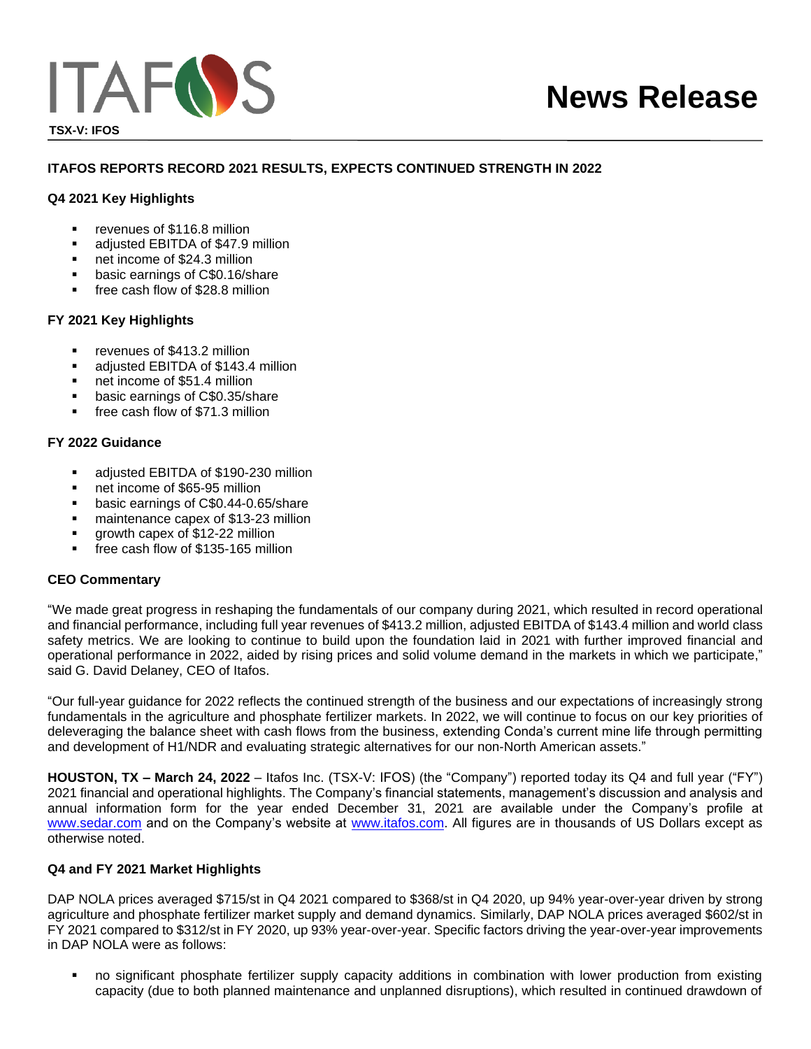

## **TSX-V: IFOS**

# **News Release**

# **ITAFOS REPORTS RECORD 2021 RESULTS, EXPECTS CONTINUED STRENGTH IN 2022**

## **Q4 2021 Key Highlights**

- revenues of \$116.8 million
- adjusted EBITDA of \$47.9 million
- net income of \$24.3 million
- basic earnings of C\$0.16/share
- free cash flow of \$28.8 million

## **FY 2021 Key Highlights**

- revenues of \$413.2 million
- adjusted EBITDA of \$143.4 million
- net income of \$51.4 million
- basic earnings of C\$0.35/share
- free cash flow of \$71.3 million

#### **FY 2022 Guidance**

- adjusted EBITDA of \$190-230 million
- net income of \$65-95 million
- basic earnings of C\$0.44-0.65/share
- maintenance capex of \$13-23 million
- arowth capex of \$12-22 million
- free cash flow of \$135-165 million

## **CEO Commentary**

"We made great progress in reshaping the fundamentals of our company during 2021, which resulted in record operational and financial performance, including full year revenues of \$413.2 million, adjusted EBITDA of \$143.4 million and world class safety metrics. We are looking to continue to build upon the foundation laid in 2021 with further improved financial and operational performance in 2022, aided by rising prices and solid volume demand in the markets in which we participate," said G. David Delaney, CEO of Itafos.

"Our full-year guidance for 2022 reflects the continued strength of the business and our expectations of increasingly strong fundamentals in the agriculture and phosphate fertilizer markets. In 2022, we will continue to focus on our key priorities of deleveraging the balance sheet with cash flows from the business, extending Conda's current mine life through permitting and development of H1/NDR and evaluating strategic alternatives for our non-North American assets."

**HOUSTON, TX – March 24, 2022** – Itafos Inc. (TSX-V: IFOS) (the "Company") reported today its Q4 and full year ("FY") 2021 financial and operational highlights. The Company's financial statements, management's discussion and analysis and annual information form for the year ended December 31, 2021 are available under the Company's profile at [www.sedar.com](http://www.sedar.com/) and on the Company's website at [www.itafos.com.](http://www.itafos.com/) All figures are in thousands of US Dollars except as otherwise noted.

## **Q4 and FY 2021 Market Highlights**

DAP NOLA prices averaged \$715/st in Q4 2021 compared to \$368/st in Q4 2020, up 94% year-over-year driven by strong agriculture and phosphate fertilizer market supply and demand dynamics. Similarly, DAP NOLA prices averaged \$602/st in FY 2021 compared to \$312/st in FY 2020, up 93% year-over-year. Specific factors driving the year-over-year improvements in DAP NOLA were as follows:

no significant phosphate fertilizer supply capacity additions in combination with lower production from existing capacity (due to both planned maintenance and unplanned disruptions), which resulted in continued drawdown of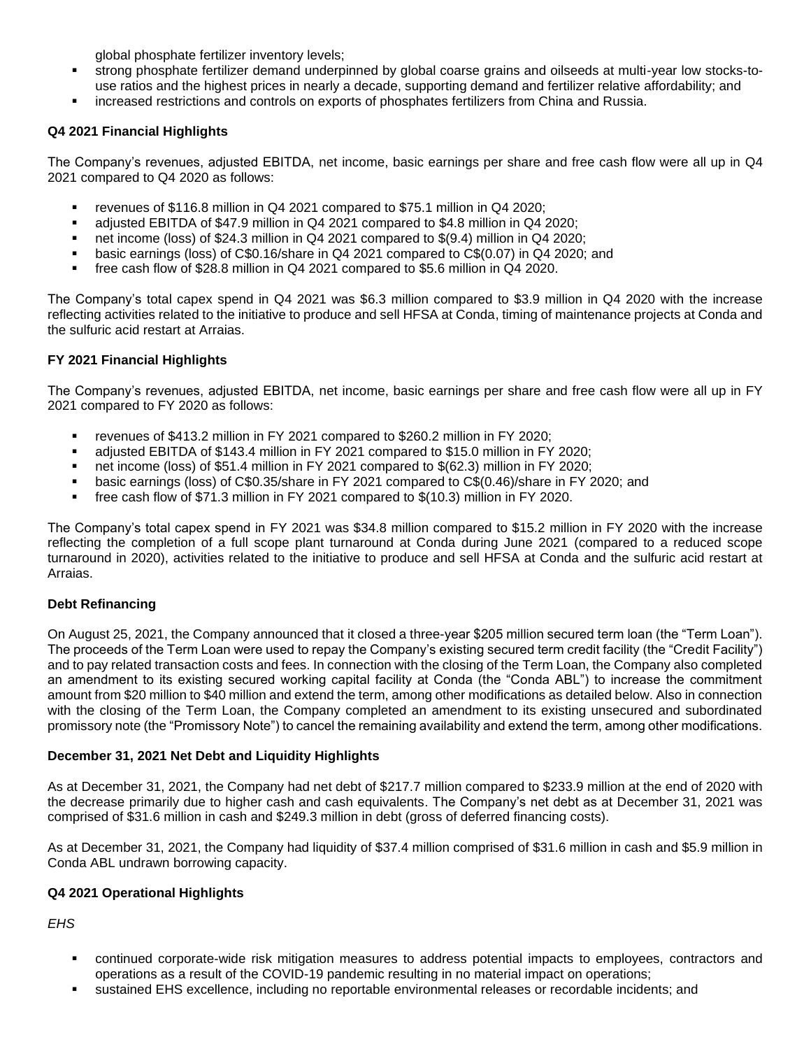global phosphate fertilizer inventory levels;

- strong phosphate fertilizer demand underpinned by global coarse grains and oilseeds at multi-year low stocks-touse ratios and the highest prices in nearly a decade, supporting demand and fertilizer relative affordability; and
- increased restrictions and controls on exports of phosphates fertilizers from China and Russia.

# **Q4 2021 Financial Highlights**

The Company's revenues, adjusted EBITDA, net income, basic earnings per share and free cash flow were all up in Q4 2021 compared to Q4 2020 as follows:

- revenues of \$116.8 million in Q4 2021 compared to \$75.1 million in Q4 2020;
- adjusted EBITDA of \$47.9 million in Q4 2021 compared to \$4.8 million in Q4 2020;
- $\blacksquare$  net income (loss) of \$24.3 million in Q4 2021 compared to \$(9.4) million in Q4 2020;
- basic earnings (loss) of C\$0.16/share in Q4 2021 compared to  $C\$ (0.07) in Q4 2020; and
- free cash flow of \$28.8 million in Q4 2021 compared to \$5.6 million in Q4 2020.

The Company's total capex spend in Q4 2021 was \$6.3 million compared to \$3.9 million in Q4 2020 with the increase reflecting activities related to the initiative to produce and sell HFSA at Conda, timing of maintenance projects at Conda and the sulfuric acid restart at Arraias.

# **FY 2021 Financial Highlights**

The Company's revenues, adjusted EBITDA, net income, basic earnings per share and free cash flow were all up in FY 2021 compared to FY 2020 as follows:

- revenues of \$413.2 million in FY 2021 compared to \$260.2 million in FY 2020;
- adjusted EBITDA of \$143.4 million in FY 2021 compared to \$15.0 million in FY 2020;
- net income (loss) of \$51.4 million in FY 2021 compared to \$(62.3) million in FY 2020;
- basic earnings (loss) of C\$0.35/share in FY 2021 compared to C\$(0.46)/share in FY 2020; and
- free cash flow of \$71.3 million in FY 2021 compared to \$(10.3) million in FY 2020.

The Company's total capex spend in FY 2021 was \$34.8 million compared to \$15.2 million in FY 2020 with the increase reflecting the completion of a full scope plant turnaround at Conda during June 2021 (compared to a reduced scope turnaround in 2020), activities related to the initiative to produce and sell HFSA at Conda and the sulfuric acid restart at Arraias.

## **Debt Refinancing**

On August 25, 2021, the Company announced that it closed a three-year \$205 million secured term loan (the "Term Loan"). The proceeds of the Term Loan were used to repay the Company's existing secured term credit facility (the "Credit Facility") and to pay related transaction costs and fees. In connection with the closing of the Term Loan, the Company also completed an amendment to its existing secured working capital facility at Conda (the "Conda ABL") to increase the commitment amount from \$20 million to \$40 million and extend the term, among other modifications as detailed below. Also in connection with the closing of the Term Loan, the Company completed an amendment to its existing unsecured and subordinated promissory note (the "Promissory Note") to cancel the remaining availability and extend the term, among other modifications.

## **December 31, 2021 Net Debt and Liquidity Highlights**

As at December 31, 2021, the Company had net debt of \$217.7 million compared to \$233.9 million at the end of 2020 with the decrease primarily due to higher cash and cash equivalents. The Company's net debt as at December 31, 2021 was comprised of \$31.6 million in cash and \$249.3 million in debt (gross of deferred financing costs).

As at December 31, 2021, the Company had liquidity of \$37.4 million comprised of \$31.6 million in cash and \$5.9 million in Conda ABL undrawn borrowing capacity.

# **Q4 2021 Operational Highlights**

*EHS*

- continued corporate-wide risk mitigation measures to address potential impacts to employees, contractors and operations as a result of the COVID-19 pandemic resulting in no material impact on operations;
- sustained EHS excellence, including no reportable environmental releases or recordable incidents; and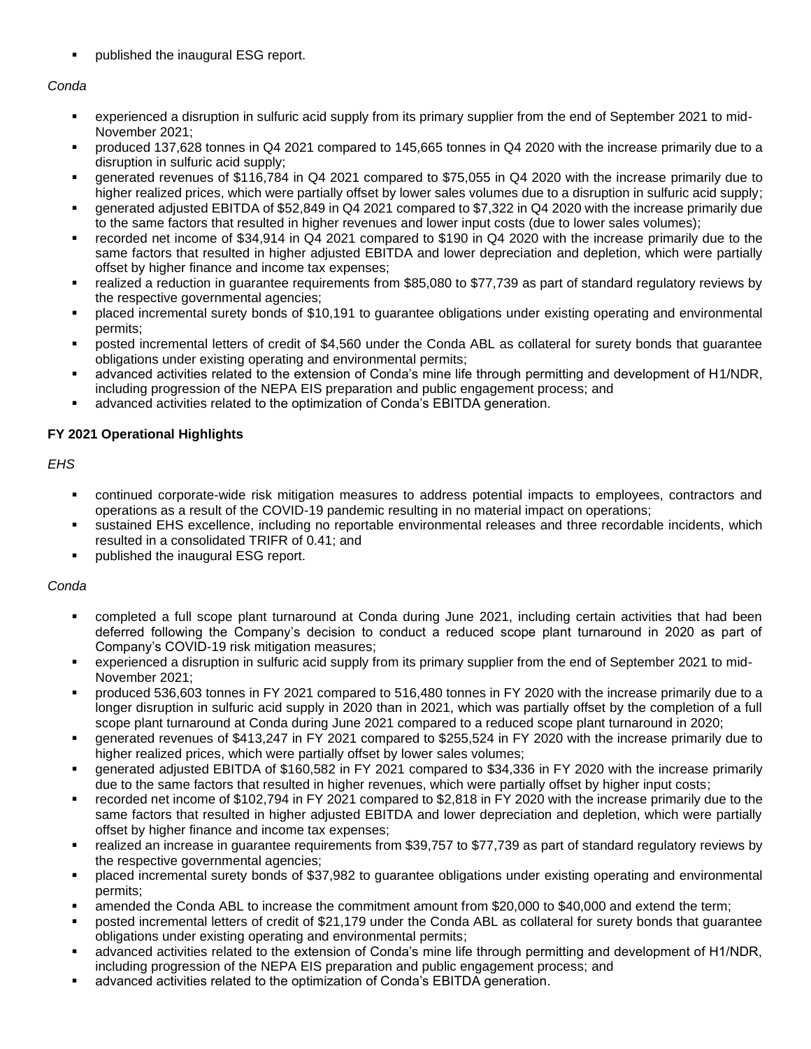**•** published the inaugural ESG report.

## *Conda*

- experienced a disruption in sulfuric acid supply from its primary supplier from the end of September 2021 to mid-November 2021;
- produced 137,628 tonnes in Q4 2021 compared to 145,665 tonnes in Q4 2020 with the increase primarily due to a disruption in sulfuric acid supply;
- generated revenues of \$116,784 in Q4 2021 compared to \$75,055 in Q4 2020 with the increase primarily due to higher realized prices, which were partially offset by lower sales volumes due to a disruption in sulfuric acid supply;
- generated adjusted EBITDA of \$52,849 in Q4 2021 compared to \$7,322 in Q4 2020 with the increase primarily due to the same factors that resulted in higher revenues and lower input costs (due to lower sales volumes);
- recorded net income of \$34,914 in Q4 2021 compared to \$190 in Q4 2020 with the increase primarily due to the same factors that resulted in higher adjusted EBITDA and lower depreciation and depletion, which were partially offset by higher finance and income tax expenses;
- realized a reduction in guarantee requirements from \$85,080 to \$77,739 as part of standard regulatory reviews by the respective governmental agencies;
- placed incremental surety bonds of \$10,191 to guarantee obligations under existing operating and environmental permits;
- posted incremental letters of credit of \$4,560 under the Conda ABL as collateral for surety bonds that guarantee obligations under existing operating and environmental permits;
- advanced activities related to the extension of Conda's mine life through permitting and development of H1/NDR, including progression of the NEPA EIS preparation and public engagement process; and
- advanced activities related to the optimization of Conda's EBITDA generation.

# **FY 2021 Operational Highlights**

# *EHS*

- continued corporate-wide risk mitigation measures to address potential impacts to employees, contractors and operations as a result of the COVID-19 pandemic resulting in no material impact on operations;
- sustained EHS excellence, including no reportable environmental releases and three recordable incidents, which resulted in a consolidated TRIFR of 0.41; and
- published the inaugural ESG report.

# *Conda*

- completed a full scope plant turnaround at Conda during June 2021, including certain activities that had been deferred following the Company's decision to conduct a reduced scope plant turnaround in 2020 as part of Company's COVID-19 risk mitigation measures;
- experienced a disruption in sulfuric acid supply from its primary supplier from the end of September 2021 to mid-November 2021;
- produced 536,603 tonnes in FY 2021 compared to 516,480 tonnes in FY 2020 with the increase primarily due to a longer disruption in sulfuric acid supply in 2020 than in 2021, which was partially offset by the completion of a full scope plant turnaround at Conda during June 2021 compared to a reduced scope plant turnaround in 2020;
- generated revenues of \$413,247 in FY 2021 compared to \$255,524 in FY 2020 with the increase primarily due to higher realized prices, which were partially offset by lower sales volumes;
- generated adjusted EBITDA of \$160,582 in FY 2021 compared to \$34,336 in FY 2020 with the increase primarily due to the same factors that resulted in higher revenues, which were partially offset by higher input costs;
- recorded net income of \$102,794 in FY 2021 compared to \$2,818 in FY 2020 with the increase primarily due to the same factors that resulted in higher adjusted EBITDA and lower depreciation and depletion, which were partially offset by higher finance and income tax expenses;
- realized an increase in guarantee requirements from \$39,757 to \$77,739 as part of standard regulatory reviews by the respective governmental agencies;
- placed incremental surety bonds of \$37,982 to guarantee obligations under existing operating and environmental permits;
- amended the Conda ABL to increase the commitment amount from \$20,000 to \$40,000 and extend the term;
- posted incremental letters of credit of \$21,179 under the Conda ABL as collateral for surety bonds that guarantee obligations under existing operating and environmental permits;
- advanced activities related to the extension of Conda's mine life through permitting and development of H1/NDR, including progression of the NEPA EIS preparation and public engagement process; and
- advanced activities related to the optimization of Conda's EBITDA generation.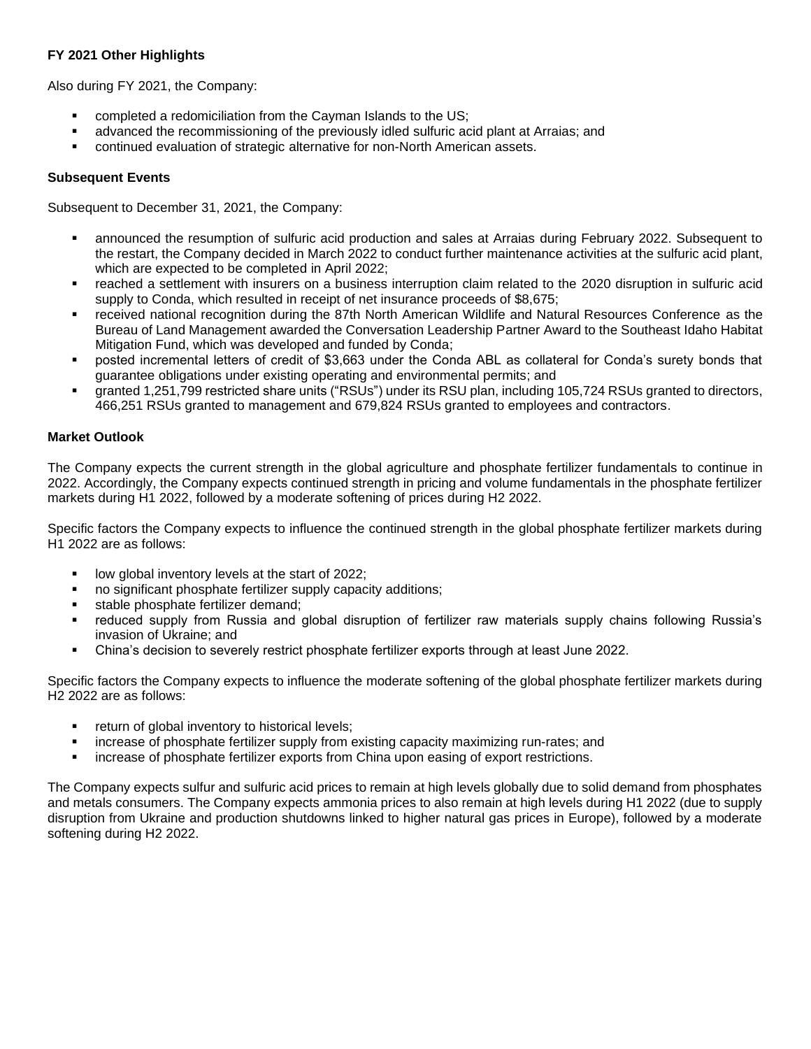# **FY 2021 Other Highlights**

Also during FY 2021, the Company:

- completed a redomiciliation from the Cayman Islands to the US;
- advanced the recommissioning of the previously idled sulfuric acid plant at Arraias; and
- continued evaluation of strategic alternative for non-North American assets.

## **Subsequent Events**

Subsequent to December 31, 2021, the Company:

- announced the resumption of sulfuric acid production and sales at Arraias during February 2022. Subsequent to the restart, the Company decided in March 2022 to conduct further maintenance activities at the sulfuric acid plant, which are expected to be completed in April 2022;
- reached a settlement with insurers on a business interruption claim related to the 2020 disruption in sulfuric acid supply to Conda, which resulted in receipt of net insurance proceeds of \$8,675;
- received national recognition during the 87th North American Wildlife and Natural Resources Conference as the Bureau of Land Management awarded the Conversation Leadership Partner Award to the Southeast Idaho Habitat Mitigation Fund, which was developed and funded by Conda;
- posted incremental letters of credit of \$3,663 under the Conda ABL as collateral for Conda's surety bonds that guarantee obligations under existing operating and environmental permits; and
- granted 1,251,799 restricted share units ("RSUs") under its RSU plan, including 105,724 RSUs granted to directors, 466,251 RSUs granted to management and 679,824 RSUs granted to employees and contractors.

## **Market Outlook**

The Company expects the current strength in the global agriculture and phosphate fertilizer fundamentals to continue in 2022. Accordingly, the Company expects continued strength in pricing and volume fundamentals in the phosphate fertilizer markets during H1 2022, followed by a moderate softening of prices during H2 2022.

Specific factors the Company expects to influence the continued strength in the global phosphate fertilizer markets during H1 2022 are as follows:

- low global inventory levels at the start of 2022;
- no significant phosphate fertilizer supply capacity additions;
- stable phosphate fertilizer demand;
- reduced supply from Russia and global disruption of fertilizer raw materials supply chains following Russia's invasion of Ukraine; and
- China's decision to severely restrict phosphate fertilizer exports through at least June 2022.

Specific factors the Company expects to influence the moderate softening of the global phosphate fertilizer markets during H2 2022 are as follows:

- return of global inventory to historical levels;
- increase of phosphate fertilizer supply from existing capacity maximizing run-rates; and
- **•** increase of phosphate fertilizer exports from China upon easing of export restrictions.

The Company expects sulfur and sulfuric acid prices to remain at high levels globally due to solid demand from phosphates and metals consumers. The Company expects ammonia prices to also remain at high levels during H1 2022 (due to supply disruption from Ukraine and production shutdowns linked to higher natural gas prices in Europe), followed by a moderate softening during H2 2022.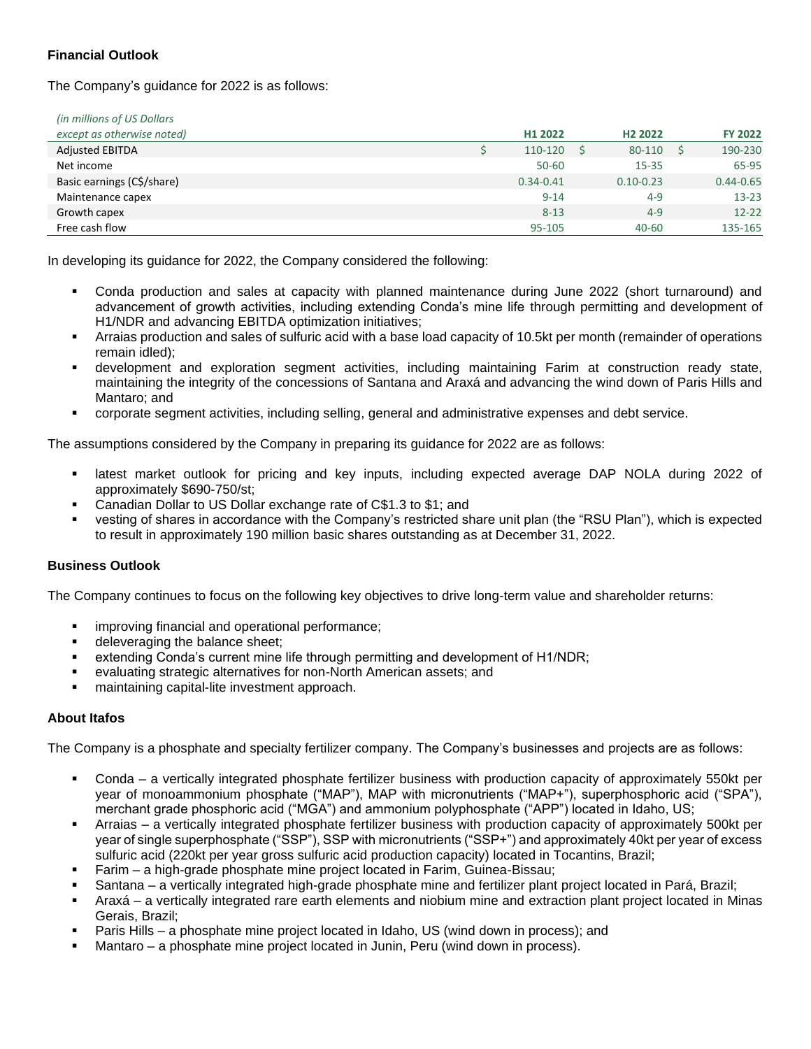# **Financial Outlook**

The Company's guidance for 2022 is as follows:

| (in millions of US Dollars) |               |                     |                |
|-----------------------------|---------------|---------------------|----------------|
| except as otherwise noted)  | H1 2022       | H <sub>2</sub> 2022 | <b>FY 2022</b> |
| <b>Adjusted EBITDA</b>      | 110-120       | 80-110              | 190-230        |
| Net income                  | $50 - 60$     | 15-35               | 65-95          |
| Basic earnings (C\$/share)  | $0.34 - 0.41$ | $0.10 - 0.23$       | $0.44 - 0.65$  |
| Maintenance capex           | $9 - 14$      | $4 - 9$             | $13 - 23$      |
| Growth capex                | $8 - 13$      | $4 - 9$             | $12 - 22$      |
| Free cash flow              | 95-105        | 40-60               | 135-165        |

In developing its guidance for 2022, the Company considered the following:

- Conda production and sales at capacity with planned maintenance during June 2022 (short turnaround) and advancement of growth activities, including extending Conda's mine life through permitting and development of H1/NDR and advancing EBITDA optimization initiatives;
- Arraias production and sales of sulfuric acid with a base load capacity of 10.5kt per month (remainder of operations remain idled);
- development and exploration segment activities, including maintaining Farim at construction ready state, maintaining the integrity of the concessions of Santana and Araxá and advancing the wind down of Paris Hills and Mantaro; and
- corporate segment activities, including selling, general and administrative expenses and debt service.

The assumptions considered by the Company in preparing its guidance for 2022 are as follows:

- latest market outlook for pricing and key inputs, including expected average DAP NOLA during 2022 of approximately \$690-750/st;
- Canadian Dollar to US Dollar exchange rate of C\$1.3 to \$1; and
- vesting of shares in accordance with the Company's restricted share unit plan (the "RSU Plan"), which is expected to result in approximately 190 million basic shares outstanding as at December 31, 2022.

# **Business Outlook**

The Company continues to focus on the following key objectives to drive long-term value and shareholder returns:

- improving financial and operational performance;
- deleveraging the balance sheet;
- extending Conda's current mine life through permitting and development of H1/NDR;
- evaluating strategic alternatives for non-North American assets; and
- maintaining capital-lite investment approach.

# **About Itafos**

The Company is a phosphate and specialty fertilizer company. The Company's businesses and projects are as follows:

- Conda a vertically integrated phosphate fertilizer business with production capacity of approximately 550kt per year of monoammonium phosphate ("MAP"), MAP with micronutrients ("MAP+"), superphosphoric acid ("SPA"), merchant grade phosphoric acid ("MGA") and ammonium polyphosphate ("APP") located in Idaho, US;
- Arraias a vertically integrated phosphate fertilizer business with production capacity of approximately 500kt per year of single superphosphate ("SSP"), SSP with micronutrients ("SSP+") and approximately 40kt per year of excess sulfuric acid (220kt per year gross sulfuric acid production capacity) located in Tocantins, Brazil;
- Farim a high-grade phosphate mine project located in Farim, Guinea-Bissau;
- Santana a vertically integrated high-grade phosphate mine and fertilizer plant project located in Pará, Brazil;
- Araxá a vertically integrated rare earth elements and niobium mine and extraction plant project located in Minas Gerais, Brazil;
- Paris Hills a phosphate mine project located in Idaho, US (wind down in process); and
- Mantaro a phosphate mine project located in Junin, Peru (wind down in process).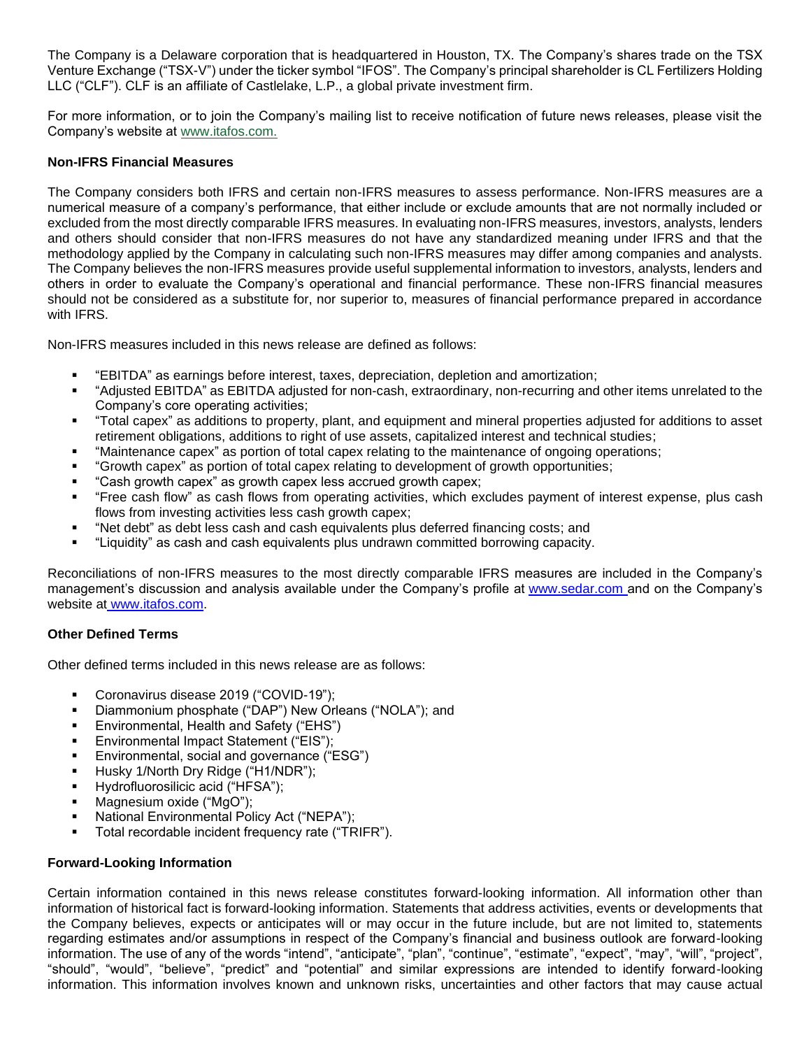The Company is a Delaware corporation that is headquartered in Houston, TX. The Company's shares trade on the TSX Venture Exchange ("TSX-V") under the ticker symbol "IFOS". The Company's principal shareholder is CL Fertilizers Holding LLC ("CLF"). CLF is an affiliate of Castlelake, L.P., a global private investment firm.

For more information, or to join the Company's mailing list to receive notification of future news releases, please visit the Company's website at [www.itafos.com.](http://www.itafos.com/)

## **Non-IFRS Financial Measures**

The Company considers both IFRS and certain non-IFRS measures to assess performance. Non-IFRS measures are a numerical measure of a company's performance, that either include or exclude amounts that are not normally included or excluded from the most directly comparable IFRS measures. In evaluating non-IFRS measures, investors, analysts, lenders and others should consider that non-IFRS measures do not have any standardized meaning under IFRS and that the methodology applied by the Company in calculating such non-IFRS measures may differ among companies and analysts. The Company believes the non-IFRS measures provide useful supplemental information to investors, analysts, lenders and others in order to evaluate the Company's operational and financial performance. These non-IFRS financial measures should not be considered as a substitute for, nor superior to, measures of financial performance prepared in accordance with IFRS.

Non-IFRS measures included in this news release are defined as follows:

- "EBITDA" as earnings before interest, taxes, depreciation, depletion and amortization;
- "Adjusted EBITDA" as EBITDA adjusted for non-cash, extraordinary, non-recurring and other items unrelated to the Company's core operating activities;
- "Total capex" as additions to property, plant, and equipment and mineral properties adjusted for additions to asset retirement obligations, additions to right of use assets, capitalized interest and technical studies;
- "Maintenance capex" as portion of total capex relating to the maintenance of ongoing operations;
- "Growth capex" as portion of total capex relating to development of growth opportunities;
- "Cash growth capex" as growth capex less accrued growth capex;
- "Free cash flow" as cash flows from operating activities, which excludes payment of interest expense, plus cash flows from investing activities less cash growth capex;
- "Net debt" as debt less cash and cash equivalents plus deferred financing costs; and
- "Liquidity" as cash and cash equivalents plus undrawn committed borrowing capacity.

Reconciliations of non-IFRS measures to the most directly comparable IFRS measures are included in the Company's management's discussion and analysis available under the Company's profile at [www.sedar.com](http://www.sedar.com/) and on the Company's website at [www.itafos.com.](http://www.itafos.com/)

## **Other Defined Terms**

Other defined terms included in this news release are as follows:

- Coronavirus disease 2019 ("COVID-19");
- Diammonium phosphate ("DAP") New Orleans ("NOLA"); and
- Environmental, Health and Safety ("EHS")
- Environmental Impact Statement ("EIS");
- Environmental, social and governance ("ESG")
- Husky 1/North Dry Ridge ("H1/NDR");
- Hydrofluorosilicic acid ("HFSA");
- Magnesium oxide ("MgO");
- National Environmental Policy Act ("NEPA");
- Total recordable incident frequency rate ("TRIFR").

## **Forward-Looking Information**

Certain information contained in this news release constitutes forward-looking information. All information other than information of historical fact is forward-looking information. Statements that address activities, events or developments that the Company believes, expects or anticipates will or may occur in the future include, but are not limited to, statements regarding estimates and/or assumptions in respect of the Company's financial and business outlook are forward-looking information. The use of any of the words "intend", "anticipate", "plan", "continue", "estimate", "expect", "may", "will", "project", "should", "would", "believe", "predict" and "potential" and similar expressions are intended to identify forward-looking information. This information involves known and unknown risks, uncertainties and other factors that may cause actual